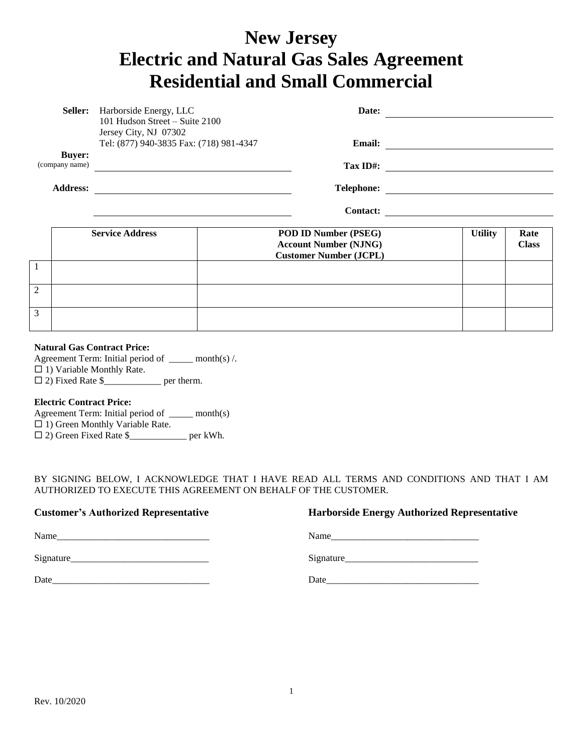# **New Jersey Electric and Natural Gas Sales Agreement Residential and Small Commercial**

|                 | <b>Seller:</b><br>Harborside Energy, LLC<br>Date:<br>101 Hudson Street - Suite 2100<br>Jersey City, NJ 07302<br>Tel: (877) 940-3835 Fax: (718) 981-4347<br><b>Email:</b> |                                                       |  |                                                               |                |              |
|-----------------|--------------------------------------------------------------------------------------------------------------------------------------------------------------------------|-------------------------------------------------------|--|---------------------------------------------------------------|----------------|--------------|
|                 |                                                                                                                                                                          |                                                       |  |                                                               |                |              |
|                 | <b>Buyer:</b>                                                                                                                                                            |                                                       |  |                                                               |                |              |
|                 | (company name)                                                                                                                                                           |                                                       |  | Tax ID#:                                                      |                |              |
| <b>Address:</b> |                                                                                                                                                                          | <u> 1989 - Johann Stein, fransk politik (f. 1989)</u> |  |                                                               |                |              |
|                 |                                                                                                                                                                          |                                                       |  | <b>Contact:</b>                                               |                |              |
|                 |                                                                                                                                                                          | <b>Service Address</b>                                |  | <b>POD ID Number (PSEG)</b>                                   | <b>Utility</b> | Rate         |
|                 |                                                                                                                                                                          |                                                       |  | <b>Account Number (NJNG)</b><br><b>Customer Number (JCPL)</b> |                | <b>Class</b> |
| $\mathbf{1}$    |                                                                                                                                                                          |                                                       |  |                                                               |                |              |
| $\overline{c}$  |                                                                                                                                                                          |                                                       |  |                                                               |                |              |
| 3               |                                                                                                                                                                          |                                                       |  |                                                               |                |              |

#### **Natural Gas Contract Price:**

Agreement Term: Initial period of \_\_\_\_\_ month(s) /.  $\Box$  1) Variable Monthly Rate.

2) Fixed Rate \$\_\_\_\_\_\_\_\_\_\_\_\_ per therm.

#### **Electric Contract Price:**

Agreement Term: Initial period of \_\_\_\_\_ month(s)  $\Box$  1) Green Monthly Variable Rate. 2) Green Fixed Rate \$\_\_\_\_\_\_\_\_\_\_\_\_ per kWh.

BY SIGNING BELOW, I ACKNOWLEDGE THAT I HAVE READ ALL TERMS AND CONDITIONS AND THAT I AM AUTHORIZED TO EXECUTE THIS AGREEMENT ON BEHALF OF THE CUSTOMER.

| <b>Customer's Authorized Representative</b>                                                                                                                                                                                    | <b>Harborside Energy Authorized Repres</b>                                                                                                                                                                                     |
|--------------------------------------------------------------------------------------------------------------------------------------------------------------------------------------------------------------------------------|--------------------------------------------------------------------------------------------------------------------------------------------------------------------------------------------------------------------------------|
| Name                                                                                                                                                                                                                           | Name                                                                                                                                                                                                                           |
|                                                                                                                                                                                                                                |                                                                                                                                                                                                                                |
| Date and the contract of the contract of the contract of the contract of the contract of the contract of the contract of the contract of the contract of the contract of the contract of the contract of the contract of the c | Date and the contract of the contract of the contract of the contract of the contract of the contract of the contract of the contract of the contract of the contract of the contract of the contract of the contract of the c |

### **Customerized Representative**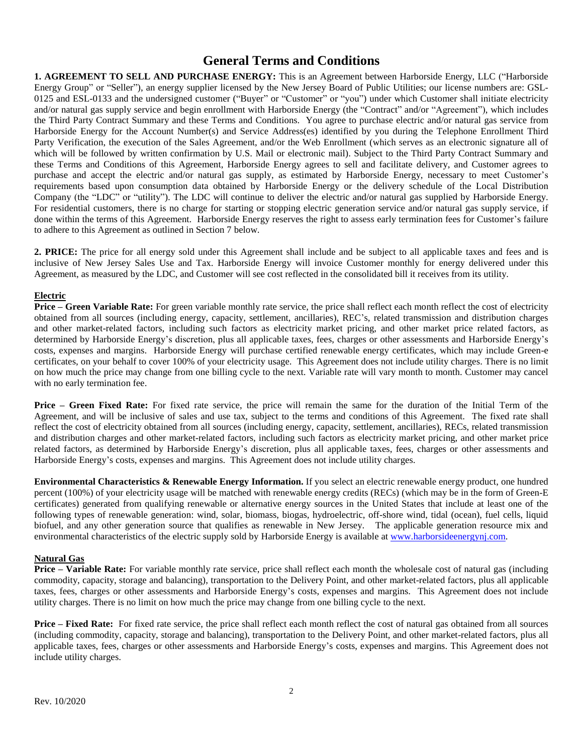## **General Terms and Conditions**

**1. AGREEMENT TO SELL AND PURCHASE ENERGY:** This is an Agreement between Harborside Energy, LLC ("Harborside Energy Group" or "Seller"), an energy supplier licensed by the New Jersey Board of Public Utilities; our license numbers are: GSL-0125 and ESL-0133 and the undersigned customer ("Buyer" or "Customer" or "you") under which Customer shall initiate electricity and/or natural gas supply service and begin enrollment with Harborside Energy (the "Contract" and/or "Agreement"), which includes the Third Party Contract Summary and these Terms and Conditions. You agree to purchase electric and/or natural gas service from Harborside Energy for the Account Number(s) and Service Address(es) identified by you during the Telephone Enrollment Third Party Verification, the execution of the Sales Agreement, and/or the Web Enrollment (which serves as an electronic signature all of which will be followed by written confirmation by U.S. Mail or electronic mail). Subject to the Third Party Contract Summary and these Terms and Conditions of this Agreement, Harborside Energy agrees to sell and facilitate delivery, and Customer agrees to purchase and accept the electric and/or natural gas supply, as estimated by Harborside Energy, necessary to meet Customer's requirements based upon consumption data obtained by Harborside Energy or the delivery schedule of the Local Distribution Company (the "LDC" or "utility"). The LDC will continue to deliver the electric and/or natural gas supplied by Harborside Energy. For residential customers, there is no charge for starting or stopping electric generation service and/or natural gas supply service, if done within the terms of this Agreement. Harborside Energy reserves the right to assess early termination fees for Customer's failure to adhere to this Agreement as outlined in Section 7 below.

**2. PRICE:** The price for all energy sold under this Agreement shall include and be subject to all applicable taxes and fees and is inclusive of New Jersey Sales Use and Tax. Harborside Energy will invoice Customer monthly for energy delivered under this Agreement, as measured by the LDC, and Customer will see cost reflected in the consolidated bill it receives from its utility.

#### **Electric**

**Price – Green Variable Rate:** For green variable monthly rate service, the price shall reflect each month reflect the cost of electricity obtained from all sources (including energy, capacity, settlement, ancillaries), REC's, related transmission and distribution charges and other market-related factors, including such factors as electricity market pricing, and other market price related factors, as determined by Harborside Energy's discretion, plus all applicable taxes, fees, charges or other assessments and Harborside Energy's costs, expenses and margins. Harborside Energy will purchase certified renewable energy certificates, which may include Green-e certificates, on your behalf to cover 100% of your electricity usage. This Agreement does not include utility charges. There is no limit on how much the price may change from one billing cycle to the next. Variable rate will vary month to month. Customer may cancel with no early termination fee.

**Price – Green Fixed Rate:** For fixed rate service, the price will remain the same for the duration of the Initial Term of the Agreement, and will be inclusive of sales and use tax, subject to the terms and conditions of this Agreement. The fixed rate shall reflect the cost of electricity obtained from all sources (including energy, capacity, settlement, ancillaries), RECs, related transmission and distribution charges and other market-related factors, including such factors as electricity market pricing, and other market price related factors, as determined by Harborside Energy's discretion, plus all applicable taxes, fees, charges or other assessments and Harborside Energy's costs, expenses and margins. This Agreement does not include utility charges.

**Environmental Characteristics & Renewable Energy Information.** If you select an electric renewable energy product, one hundred percent (100%) of your electricity usage will be matched with renewable energy credits (RECs) (which may be in the form of Green-E certificates) generated from qualifying renewable or alternative energy sources in the United States that include at least one of the following types of renewable generation: wind, solar, biomass, biogas, hydroelectric, off-shore wind, tidal (ocean), fuel cells, liquid biofuel, and any other generation source that qualifies as renewable in New Jersey. The applicable generation resource mix and environmental characteristics of the electric supply sold by Harborside Energy is available at [www.harborsideenergynj.com.](http://www.harborsideenergynj.com/)

#### **Natural Gas**

**Price – Variable Rate:** For variable monthly rate service, price shall reflect each month the wholesale cost of natural gas (including commodity, capacity, storage and balancing), transportation to the Delivery Point, and other market-related factors, plus all applicable taxes, fees, charges or other assessments and Harborside Energy's costs, expenses and margins. This Agreement does not include utility charges. There is no limit on how much the price may change from one billing cycle to the next.

**Price – Fixed Rate:** For fixed rate service, the price shall reflect each month reflect the cost of natural gas obtained from all sources (including commodity, capacity, storage and balancing), transportation to the Delivery Point, and other market-related factors, plus all applicable taxes, fees, charges or other assessments and Harborside Energy's costs, expenses and margins. This Agreement does not include utility charges.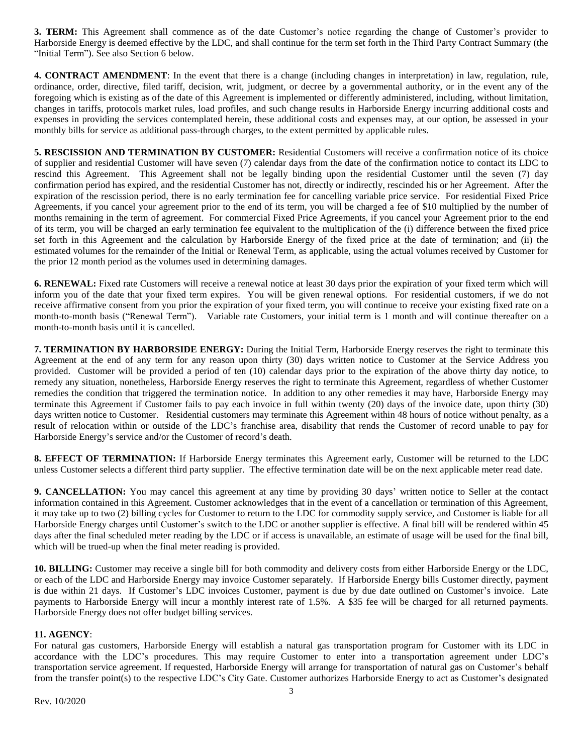**3. TERM:** This Agreement shall commence as of the date Customer's notice regarding the change of Customer's provider to Harborside Energy is deemed effective by the LDC, and shall continue for the term set forth in the Third Party Contract Summary (the "Initial Term"). See also Section 6 below.

**4. CONTRACT AMENDMENT**: In the event that there is a change (including changes in interpretation) in law, regulation, rule, ordinance, order, directive, filed tariff, decision, writ, judgment, or decree by a governmental authority, or in the event any of the foregoing which is existing as of the date of this Agreement is implemented or differently administered, including, without limitation, changes in tariffs, protocols market rules, load profiles, and such change results in Harborside Energy incurring additional costs and expenses in providing the services contemplated herein, these additional costs and expenses may, at our option, be assessed in your monthly bills for service as additional pass-through charges, to the extent permitted by applicable rules.

**5. RESCISSION AND TERMINATION BY CUSTOMER:** Residential Customers will receive a confirmation notice of its choice of supplier and residential Customer will have seven (7) calendar days from the date of the confirmation notice to contact its LDC to rescind this Agreement. This Agreement shall not be legally binding upon the residential Customer until the seven (7) day confirmation period has expired, and the residential Customer has not, directly or indirectly, rescinded his or her Agreement. After the expiration of the rescission period, there is no early termination fee for cancelling variable price service. For residential Fixed Price Agreements, if you cancel your agreement prior to the end of its term, you will be charged a fee of \$10 multiplied by the number of months remaining in the term of agreement. For commercial Fixed Price Agreements, if you cancel your Agreement prior to the end of its term, you will be charged an early termination fee equivalent to the multiplication of the (i) difference between the fixed price set forth in this Agreement and the calculation by Harborside Energy of the fixed price at the date of termination; and (ii) the estimated volumes for the remainder of the Initial or Renewal Term, as applicable, using the actual volumes received by Customer for the prior 12 month period as the volumes used in determining damages.

**6. RENEWAL:** Fixed rate Customers will receive a renewal notice at least 30 days prior the expiration of your fixed term which will inform you of the date that your fixed term expires. You will be given renewal options. For residential customers, if we do not receive affirmative consent from you prior the expiration of your fixed term, you will continue to receive your existing fixed rate on a month-to-month basis ("Renewal Term"). Variable rate Customers, your initial term is 1 month and will continue thereafter on a month-to-month basis until it is cancelled.

**7. TERMINATION BY HARBORSIDE ENERGY:** During the Initial Term, Harborside Energy reserves the right to terminate this Agreement at the end of any term for any reason upon thirty (30) days written notice to Customer at the Service Address you provided. Customer will be provided a period of ten (10) calendar days prior to the expiration of the above thirty day notice, to remedy any situation, nonetheless, Harborside Energy reserves the right to terminate this Agreement, regardless of whether Customer remedies the condition that triggered the termination notice. In addition to any other remedies it may have, Harborside Energy may terminate this Agreement if Customer fails to pay each invoice in full within twenty (20) days of the invoice date, upon thirty (30) days written notice to Customer. Residential customers may terminate this Agreement within 48 hours of notice without penalty, as a result of relocation within or outside of the LDC's franchise area, disability that rends the Customer of record unable to pay for Harborside Energy's service and/or the Customer of record's death.

**8. EFFECT OF TERMINATION:** If Harborside Energy terminates this Agreement early, Customer will be returned to the LDC unless Customer selects a different third party supplier. The effective termination date will be on the next applicable meter read date.

**9. CANCELLATION:** You may cancel this agreement at any time by providing 30 days' written notice to Seller at the contact information contained in this Agreement. Customer acknowledges that in the event of a cancellation or termination of this Agreement, it may take up to two (2) billing cycles for Customer to return to the LDC for commodity supply service, and Customer is liable for all Harborside Energy charges until Customer's switch to the LDC or another supplier is effective. A final bill will be rendered within 45 days after the final scheduled meter reading by the LDC or if access is unavailable, an estimate of usage will be used for the final bill, which will be trued-up when the final meter reading is provided.

**10. BILLING:** Customer may receive a single bill for both commodity and delivery costs from either Harborside Energy or the LDC, or each of the LDC and Harborside Energy may invoice Customer separately. If Harborside Energy bills Customer directly, payment is due within 21 days. If Customer's LDC invoices Customer, payment is due by due date outlined on Customer's invoice. Late payments to Harborside Energy will incur a monthly interest rate of 1.5%. A \$35 fee will be charged for all returned payments. Harborside Energy does not offer budget billing services.

#### **11. AGENCY**:

For natural gas customers, Harborside Energy will establish a natural gas transportation program for Customer with its LDC in accordance with the LDC's procedures. This may require Customer to enter into a transportation agreement under LDC's transportation service agreement. If requested, Harborside Energy will arrange for transportation of natural gas on Customer's behalf from the transfer point(s) to the respective LDC's City Gate. Customer authorizes Harborside Energy to act as Customer's designated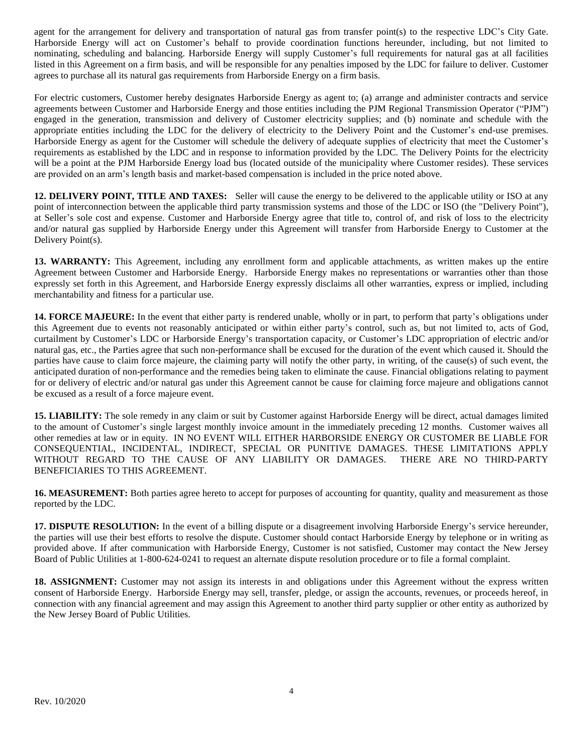agent for the arrangement for delivery and transportation of natural gas from transfer point(s) to the respective LDC's City Gate. Harborside Energy will act on Customer's behalf to provide coordination functions hereunder, including, but not limited to nominating, scheduling and balancing. Harborside Energy will supply Customer's full requirements for natural gas at all facilities listed in this Agreement on a firm basis, and will be responsible for any penalties imposed by the LDC for failure to deliver. Customer agrees to purchase all its natural gas requirements from Harborside Energy on a firm basis.

For electric customers, Customer hereby designates Harborside Energy as agent to; (a) arrange and administer contracts and service agreements between Customer and Harborside Energy and those entities including the PJM Regional Transmission Operator ("PJM") engaged in the generation, transmission and delivery of Customer electricity supplies; and (b) nominate and schedule with the appropriate entities including the LDC for the delivery of electricity to the Delivery Point and the Customer's end-use premises. Harborside Energy as agent for the Customer will schedule the delivery of adequate supplies of electricity that meet the Customer's requirements as established by the LDC and in response to information provided by the LDC. The Delivery Points for the electricity will be a point at the PJM Harborside Energy load bus (located outside of the municipality where Customer resides). These services are provided on an arm's length basis and market-based compensation is included in the price noted above.

**12. DELIVERY POINT, TITLE AND TAXES:** Seller will cause the energy to be delivered to the applicable utility or ISO at any point of interconnection between the applicable third party transmission systems and those of the LDC or ISO (the "Delivery Point"), at Seller's sole cost and expense. Customer and Harborside Energy agree that title to, control of, and risk of loss to the electricity and/or natural gas supplied by Harborside Energy under this Agreement will transfer from Harborside Energy to Customer at the Delivery Point(s).

**13. WARRANTY:** This Agreement, including any enrollment form and applicable attachments, as written makes up the entire Agreement between Customer and Harborside Energy. Harborside Energy makes no representations or warranties other than those expressly set forth in this Agreement, and Harborside Energy expressly disclaims all other warranties, express or implied, including merchantability and fitness for a particular use.

**14. FORCE MAJEURE:** In the event that either party is rendered unable, wholly or in part, to perform that party's obligations under this Agreement due to events not reasonably anticipated or within either party's control, such as, but not limited to, acts of God, curtailment by Customer's LDC or Harborside Energy's transportation capacity, or Customer's LDC appropriation of electric and/or natural gas, etc., the Parties agree that such non-performance shall be excused for the duration of the event which caused it. Should the parties have cause to claim force majeure, the claiming party will notify the other party, in writing, of the cause(s) of such event, the anticipated duration of non-performance and the remedies being taken to eliminate the cause. Financial obligations relating to payment for or delivery of electric and/or natural gas under this Agreement cannot be cause for claiming force majeure and obligations cannot be excused as a result of a force majeure event.

**15. LIABILITY:** The sole remedy in any claim or suit by Customer against Harborside Energy will be direct, actual damages limited to the amount of Customer's single largest monthly invoice amount in the immediately preceding 12 months. Customer waives all other remedies at law or in equity. IN NO EVENT WILL EITHER HARBORSIDE ENERGY OR CUSTOMER BE LIABLE FOR CONSEQUENTIAL, INCIDENTAL, INDIRECT, SPECIAL OR PUNITIVE DAMAGES. THESE LIMITATIONS APPLY WITHOUT REGARD TO THE CAUSE OF ANY LIABILITY OR DAMAGES. THERE ARE NO THIRD-PARTY BENEFICIARIES TO THIS AGREEMENT.

**16. MEASUREMENT:** Both parties agree hereto to accept for purposes of accounting for quantity, quality and measurement as those reported by the LDC.

**17. DISPUTE RESOLUTION:** In the event of a billing dispute or a disagreement involving Harborside Energy's service hereunder, the parties will use their best efforts to resolve the dispute. Customer should contact Harborside Energy by telephone or in writing as provided above. If after communication with Harborside Energy, Customer is not satisfied, Customer may contact the New Jersey Board of Public Utilities at 1-800-624-0241 to request an alternate dispute resolution procedure or to file a formal complaint.

18. ASSIGNMENT: Customer may not assign its interests in and obligations under this Agreement without the express written consent of Harborside Energy. Harborside Energy may sell, transfer, pledge, or assign the accounts, revenues, or proceeds hereof, in connection with any financial agreement and may assign this Agreement to another third party supplier or other entity as authorized by the New Jersey Board of Public Utilities.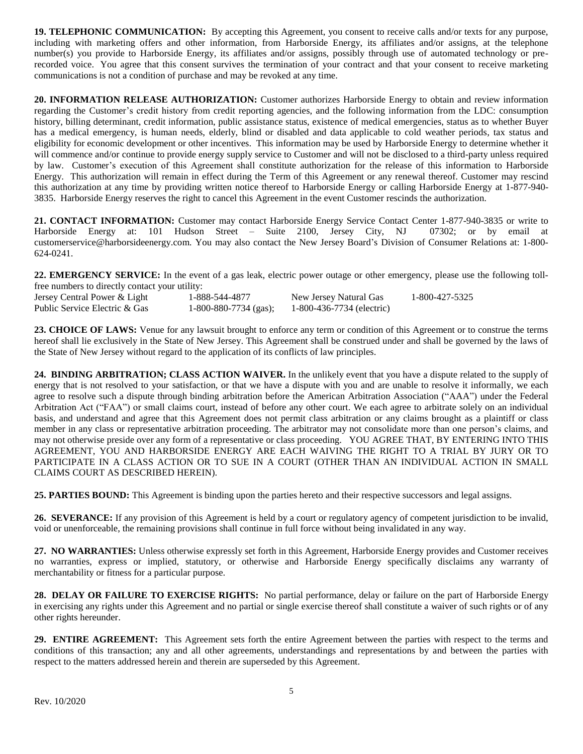**19. TELEPHONIC COMMUNICATION:** By accepting this Agreement, you consent to receive calls and/or texts for any purpose, including with marketing offers and other information, from Harborside Energy, its affiliates and/or assigns, at the telephone number(s) you provide to Harborside Energy, its affiliates and/or assigns, possibly through use of automated technology or prerecorded voice. You agree that this consent survives the termination of your contract and that your consent to receive marketing communications is not a condition of purchase and may be revoked at any time.

**20. INFORMATION RELEASE AUTHORIZATION:** Customer authorizes Harborside Energy to obtain and review information regarding the Customer's credit history from credit reporting agencies, and the following information from the LDC: consumption history, billing determinant, credit information, public assistance status, existence of medical emergencies, status as to whether Buyer has a medical emergency, is human needs, elderly, blind or disabled and data applicable to cold weather periods, tax status and eligibility for economic development or other incentives. This information may be used by Harborside Energy to determine whether it will commence and/or continue to provide energy supply service to Customer and will not be disclosed to a third-party unless required by law. Customer's execution of this Agreement shall constitute authorization for the release of this information to Harborside Energy. This authorization will remain in effect during the Term of this Agreement or any renewal thereof. Customer may rescind this authorization at any time by providing written notice thereof to Harborside Energy or calling Harborside Energy at 1-877-940- 3835. Harborside Energy reserves the right to cancel this Agreement in the event Customer rescinds the authorization.

**21. CONTACT INFORMATION:** Customer may contact Harborside Energy Service Contact Center 1-877-940-3835 or write to Harborside Energy at: 101 Hudson Street – Suite 2100, Jersey City, NJ 07302; or by email at customerservice@harborsideenergy.com*.* You may also contact the New Jersey Board's Division of Consumer Relations at: 1-800- 624-0241.

**22. EMERGENCY SERVICE:** In the event of a gas leak, electric power outage or other emergency, please use the following tollfree numbers to directly contact your utility:

| Jersey Central Power & Light  | 1-888-544-4877          | New Jersey Natural Gas    | 1-800-427-5325 |
|-------------------------------|-------------------------|---------------------------|----------------|
| Public Service Electric & Gas | $1-800-880-7734$ (gas); | 1-800-436-7734 (electric) |                |

**23. CHOICE OF LAWS:** Venue for any lawsuit brought to enforce any term or condition of this Agreement or to construe the terms hereof shall lie exclusively in the State of New Jersey. This Agreement shall be construed under and shall be governed by the laws of the State of New Jersey without regard to the application of its conflicts of law principles.

**24. BINDING ARBITRATION; CLASS ACTION WAIVER.** In the unlikely event that you have a dispute related to the supply of energy that is not resolved to your satisfaction, or that we have a dispute with you and are unable to resolve it informally, we each agree to resolve such a dispute through binding arbitration before the American Arbitration Association ("AAA") under the Federal Arbitration Act ("FAA") or small claims court, instead of before any other court. We each agree to arbitrate solely on an individual basis, and understand and agree that this Agreement does not permit class arbitration or any claims brought as a plaintiff or class member in any class or representative arbitration proceeding. The arbitrator may not consolidate more than one person's claims, and may not otherwise preside over any form of a representative or class proceeding. YOU AGREE THAT, BY ENTERING INTO THIS AGREEMENT, YOU AND HARBORSIDE ENERGY ARE EACH WAIVING THE RIGHT TO A TRIAL BY JURY OR TO PARTICIPATE IN A CLASS ACTION OR TO SUE IN A COURT (OTHER THAN AN INDIVIDUAL ACTION IN SMALL CLAIMS COURT AS DESCRIBED HEREIN).

**25. PARTIES BOUND:** This Agreement is binding upon the parties hereto and their respective successors and legal assigns.

**26. SEVERANCE:** If any provision of this Agreement is held by a court or regulatory agency of competent jurisdiction to be invalid, void or unenforceable, the remaining provisions shall continue in full force without being invalidated in any way.

**27. NO WARRANTIES:** Unless otherwise expressly set forth in this Agreement, Harborside Energy provides and Customer receives no warranties, express or implied, statutory, or otherwise and Harborside Energy specifically disclaims any warranty of merchantability or fitness for a particular purpose.

**28. DELAY OR FAILURE TO EXERCISE RIGHTS:** No partial performance, delay or failure on the part of Harborside Energy in exercising any rights under this Agreement and no partial or single exercise thereof shall constitute a waiver of such rights or of any other rights hereunder.

**29. ENTIRE AGREEMENT:** This Agreement sets forth the entire Agreement between the parties with respect to the terms and conditions of this transaction; any and all other agreements, understandings and representations by and between the parties with respect to the matters addressed herein and therein are superseded by this Agreement.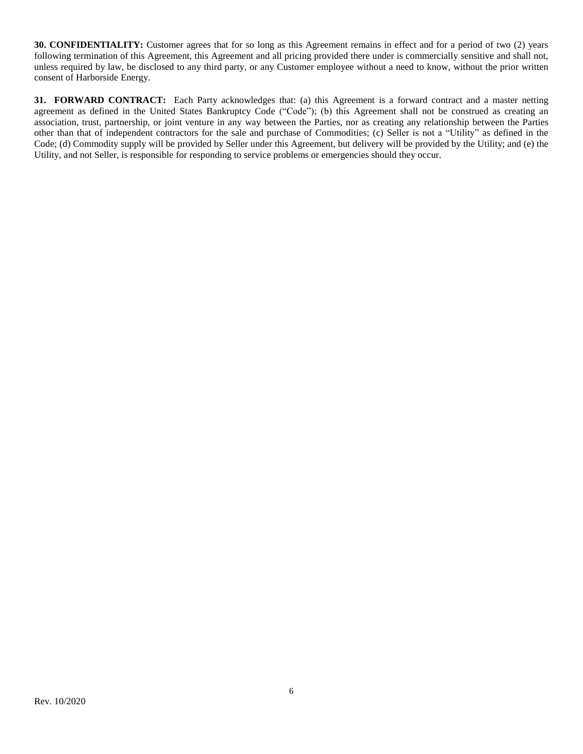**30. CONFIDENTIALITY:** Customer agrees that for so long as this Agreement remains in effect and for a period of two (2) years following termination of this Agreement, this Agreement and all pricing provided there under is commercially sensitive and shall not, unless required by law, be disclosed to any third party, or any Customer employee without a need to know, without the prior written consent of Harborside Energy.

**31. FORWARD CONTRACT:** Each Party acknowledges that: (a) this Agreement is a forward contract and a master netting agreement as defined in the United States Bankruptcy Code ("Code"); (b) this Agreement shall not be construed as creating an association, trust, partnership, or joint venture in any way between the Parties, nor as creating any relationship between the Parties other than that of independent contractors for the sale and purchase of Commodities; (c) Seller is not a "Utility" as defined in the Code; (d) Commodity supply will be provided by Seller under this Agreement, but delivery will be provided by the Utility; and (e) the Utility, and not Seller, is responsible for responding to service problems or emergencies should they occur.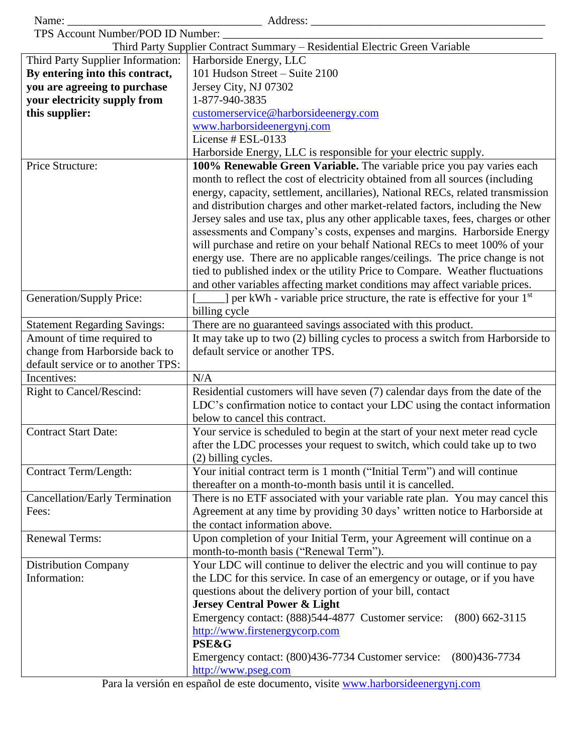|                                                                      | Third Party Supplier Contract Summary - Residential Electric Green Variable                                      |  |  |  |
|----------------------------------------------------------------------|------------------------------------------------------------------------------------------------------------------|--|--|--|
|                                                                      | Third Party Supplier Information:<br>Harborside Energy, LLC                                                      |  |  |  |
| By entering into this contract,                                      | 101 Hudson Street - Suite 2100                                                                                   |  |  |  |
| you are agreeing to purchase                                         | Jersey City, NJ 07302                                                                                            |  |  |  |
| your electricity supply from                                         | 1-877-940-3835                                                                                                   |  |  |  |
| this supplier:                                                       | customerservice@harborsideenergy.com                                                                             |  |  |  |
|                                                                      | www.harborsideenergynj.com                                                                                       |  |  |  |
|                                                                      | License # ESL-0133                                                                                               |  |  |  |
|                                                                      | Harborside Energy, LLC is responsible for your electric supply.                                                  |  |  |  |
| Price Structure:                                                     | 100% Renewable Green Variable. The variable price you pay varies each                                            |  |  |  |
|                                                                      | month to reflect the cost of electricity obtained from all sources (including                                    |  |  |  |
|                                                                      | energy, capacity, settlement, ancillaries), National RECs, related transmission                                  |  |  |  |
|                                                                      | and distribution charges and other market-related factors, including the New                                     |  |  |  |
|                                                                      | Jersey sales and use tax, plus any other applicable taxes, fees, charges or other                                |  |  |  |
|                                                                      | assessments and Company's costs, expenses and margins. Harborside Energy                                         |  |  |  |
|                                                                      | will purchase and retire on your behalf National RECs to meet 100% of your                                       |  |  |  |
|                                                                      | energy use. There are no applicable ranges/ceilings. The price change is not                                     |  |  |  |
|                                                                      | tied to published index or the utility Price to Compare. Weather fluctuations                                    |  |  |  |
|                                                                      | and other variables affecting market conditions may affect variable prices.                                      |  |  |  |
|                                                                      | ] per kWh - variable price structure, the rate is effective for your 1 <sup>st</sup><br>Generation/Supply Price: |  |  |  |
|                                                                      | billing cycle<br>There are no guaranteed savings associated with this product.                                   |  |  |  |
| <b>Statement Regarding Savings:</b><br>Amount of time required to    | It may take up to two (2) billing cycles to process a switch from Harborside to                                  |  |  |  |
|                                                                      | default service or another TPS.                                                                                  |  |  |  |
| change from Harborside back to<br>default service or to another TPS: |                                                                                                                  |  |  |  |
| Incentives:                                                          | N/A                                                                                                              |  |  |  |
| <b>Right to Cancel/Rescind:</b>                                      | Residential customers will have seven (7) calendar days from the date of the                                     |  |  |  |
|                                                                      | LDC's confirmation notice to contact your LDC using the contact information                                      |  |  |  |
|                                                                      | below to cancel this contract.                                                                                   |  |  |  |
| <b>Contract Start Date:</b>                                          | Your service is scheduled to begin at the start of your next meter read cycle                                    |  |  |  |
|                                                                      | after the LDC processes your request to switch, which could take up to two                                       |  |  |  |
|                                                                      | (2) billing cycles.                                                                                              |  |  |  |
| <b>Contract Term/Length:</b>                                         | Your initial contract term is 1 month ("Initial Term") and will continue                                         |  |  |  |
|                                                                      | thereafter on a month-to-month basis until it is cancelled.                                                      |  |  |  |
| Cancellation/Early Termination                                       | There is no ETF associated with your variable rate plan. You may cancel this                                     |  |  |  |
| Fees:                                                                | Agreement at any time by providing 30 days' written notice to Harborside at                                      |  |  |  |
|                                                                      | the contact information above.                                                                                   |  |  |  |
| <b>Renewal Terms:</b>                                                | Upon completion of your Initial Term, your Agreement will continue on a                                          |  |  |  |
|                                                                      | month-to-month basis ("Renewal Term").                                                                           |  |  |  |
| <b>Distribution Company</b>                                          | Your LDC will continue to deliver the electric and you will continue to pay                                      |  |  |  |
| Information:                                                         | the LDC for this service. In case of an emergency or outage, or if you have                                      |  |  |  |
|                                                                      | questions about the delivery portion of your bill, contact                                                       |  |  |  |
|                                                                      | <b>Jersey Central Power &amp; Light</b>                                                                          |  |  |  |
|                                                                      | Emergency contact: (888)544-4877 Customer service: (800) 662-3115                                                |  |  |  |
|                                                                      | http://www.firstenergycorp.com                                                                                   |  |  |  |
|                                                                      | <b>PSE&amp;G</b>                                                                                                 |  |  |  |
|                                                                      | Emergency contact: (800)436-7734 Customer service:<br>$(800)436 - 7734$                                          |  |  |  |
|                                                                      | http://www.pseg.com                                                                                              |  |  |  |

Para la versión en español de este documento, visite [www.harborsideenergyn](http://www.harborsideenergynj.com/)j.com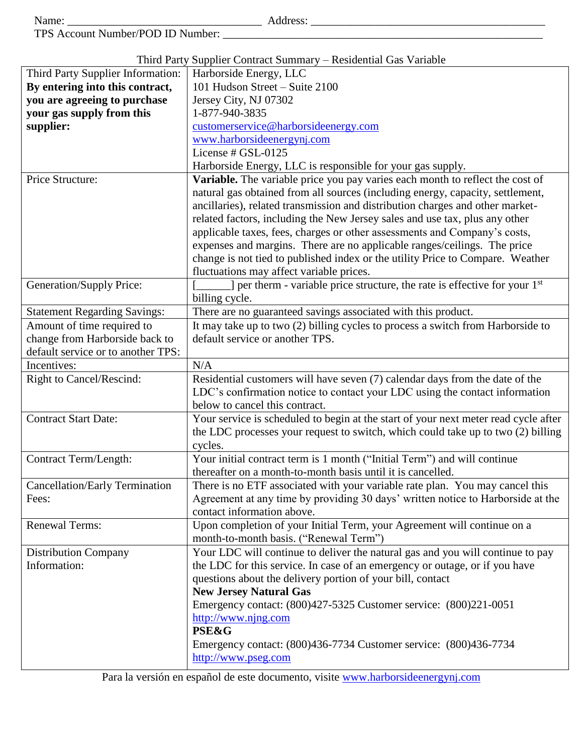| Name |   |
|------|---|
|      | ċ |

Name: \_\_\_\_\_\_\_\_\_\_\_\_\_\_\_\_\_\_\_\_\_\_\_\_\_\_\_\_\_\_\_\_\_\_ Address: \_\_\_\_\_\_\_\_\_\_\_\_\_\_\_\_\_\_\_\_\_\_\_\_\_\_\_\_\_\_\_\_\_\_\_\_\_\_\_\_\_

TPS Account Number/POD ID Number: \_\_\_\_\_\_\_\_\_\_\_\_\_\_\_\_\_\_\_\_\_\_\_\_\_\_\_\_\_\_\_\_\_\_\_\_\_\_\_\_\_\_\_\_\_\_\_\_\_\_\_\_\_\_\_\_

Third Party Supplier Contract Summary – Residential Gas Variable

|                                                                                  | Third Party Supplier Contract Summary – Residential Gas Variable                    |  |  |
|----------------------------------------------------------------------------------|-------------------------------------------------------------------------------------|--|--|
| Third Party Supplier Information:                                                | Harborside Energy, LLC                                                              |  |  |
| By entering into this contract,                                                  | 101 Hudson Street - Suite 2100                                                      |  |  |
| you are agreeing to purchase                                                     | Jersey City, NJ 07302                                                               |  |  |
| your gas supply from this                                                        | 1-877-940-3835                                                                      |  |  |
| supplier:                                                                        | customerservice@harborsideenergy.com                                                |  |  |
|                                                                                  | www.harborsideenergynj.com                                                          |  |  |
|                                                                                  | License # GSL-0125                                                                  |  |  |
|                                                                                  | Harborside Energy, LLC is responsible for your gas supply.                          |  |  |
| Price Structure:                                                                 | Variable. The variable price you pay varies each month to reflect the cost of       |  |  |
|                                                                                  | natural gas obtained from all sources (including energy, capacity, settlement,      |  |  |
|                                                                                  | ancillaries), related transmission and distribution charges and other market-       |  |  |
|                                                                                  | related factors, including the New Jersey sales and use tax, plus any other         |  |  |
|                                                                                  | applicable taxes, fees, charges or other assessments and Company's costs,           |  |  |
|                                                                                  | expenses and margins. There are no applicable ranges/ceilings. The price            |  |  |
|                                                                                  | change is not tied to published index or the utility Price to Compare. Weather      |  |  |
|                                                                                  | fluctuations may affect variable prices.                                            |  |  |
| Generation/Supply Price:                                                         | ] per therm - variable price structure, the rate is effective for your $1st$        |  |  |
|                                                                                  | billing cycle.                                                                      |  |  |
| <b>Statement Regarding Savings:</b>                                              | There are no guaranteed savings associated with this product.                       |  |  |
| Amount of time required to                                                       | It may take up to two (2) billing cycles to process a switch from Harborside to     |  |  |
| change from Harborside back to                                                   | default service or another TPS.                                                     |  |  |
|                                                                                  |                                                                                     |  |  |
| default service or to another TPS:                                               |                                                                                     |  |  |
| Incentives:                                                                      | N/A                                                                                 |  |  |
| Right to Cancel/Rescind:                                                         | Residential customers will have seven (7) calendar days from the date of the        |  |  |
|                                                                                  | LDC's confirmation notice to contact your LDC using the contact information         |  |  |
|                                                                                  | below to cancel this contract.                                                      |  |  |
| <b>Contract Start Date:</b>                                                      | Your service is scheduled to begin at the start of your next meter read cycle after |  |  |
| the LDC processes your request to switch, which could take up to two (2) billing |                                                                                     |  |  |
|                                                                                  | cycles.                                                                             |  |  |
| Contract Term/Length:                                                            | Your initial contract term is 1 month ("Initial Term") and will continue            |  |  |
|                                                                                  | thereafter on a month-to-month basis until it is cancelled.                         |  |  |
| <b>Cancellation/Early Termination</b>                                            | There is no ETF associated with your variable rate plan. You may cancel this        |  |  |
| Fees:                                                                            | Agreement at any time by providing 30 days' written notice to Harborside at the     |  |  |
|                                                                                  | contact information above.                                                          |  |  |
| <b>Renewal Terms:</b>                                                            | Upon completion of your Initial Term, your Agreement will continue on a             |  |  |
|                                                                                  | month-to-month basis. ("Renewal Term")                                              |  |  |
| <b>Distribution Company</b>                                                      | Your LDC will continue to deliver the natural gas and you will continue to pay      |  |  |
| Information:                                                                     | the LDC for this service. In case of an emergency or outage, or if you have         |  |  |
|                                                                                  | questions about the delivery portion of your bill, contact                          |  |  |
|                                                                                  | <b>New Jersey Natural Gas</b>                                                       |  |  |
|                                                                                  | Emergency contact: (800)427-5325 Customer service: (800)221-0051                    |  |  |
|                                                                                  | http://www.njng.com                                                                 |  |  |
|                                                                                  | <b>PSE&amp;G</b>                                                                    |  |  |
|                                                                                  | Emergency contact: (800)436-7734 Customer service: (800)436-7734                    |  |  |
|                                                                                  | http://www.pseg.com                                                                 |  |  |
|                                                                                  |                                                                                     |  |  |

Para la versión en español de este documento, visite [www.harborsideenergyn](http://www.harborsideenergynj.com/)j.com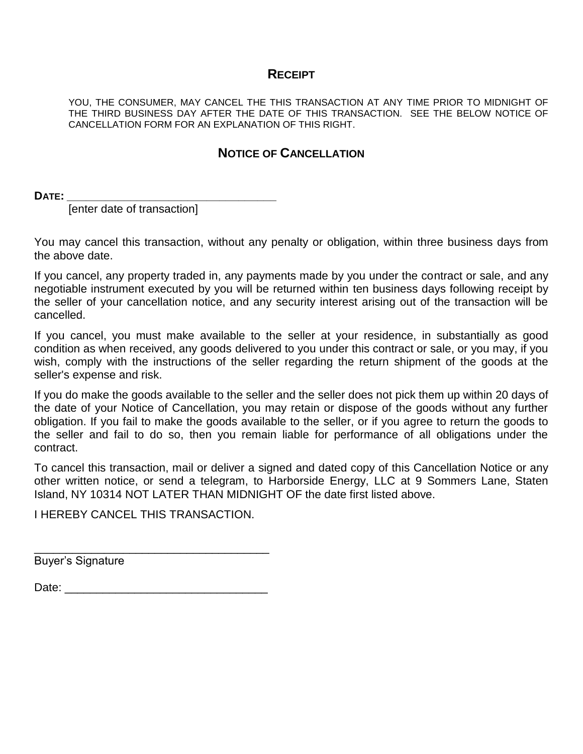## **RECEIPT**

YOU, THE CONSUMER, MAY CANCEL THE THIS TRANSACTION AT ANY TIME PRIOR TO MIDNIGHT OF THE THIRD BUSINESS DAY AFTER THE DATE OF THIS TRANSACTION. SEE THE BELOW NOTICE OF CANCELLATION FORM FOR AN EXPLANATION OF THIS RIGHT.

## **NOTICE OF CANCELLATION**

**DATE: \_\_\_\_\_\_\_\_\_\_\_\_\_\_\_\_\_\_\_\_\_\_\_\_\_\_\_\_\_\_\_\_\_**

[enter date of transaction]

You may cancel this transaction, without any penalty or obligation, within three business days from the above date.

If you cancel, any property traded in, any payments made by you under the contract or sale, and any negotiable instrument executed by you will be returned within ten business days following receipt by the seller of your cancellation notice, and any security interest arising out of the transaction will be cancelled.

If you cancel, you must make available to the seller at your residence, in substantially as good condition as when received, any goods delivered to you under this contract or sale, or you may, if you wish, comply with the instructions of the seller regarding the return shipment of the goods at the seller's expense and risk.

If you do make the goods available to the seller and the seller does not pick them up within 20 days of the date of your Notice of Cancellation, you may retain or dispose of the goods without any further obligation. If you fail to make the goods available to the seller, or if you agree to return the goods to the seller and fail to do so, then you remain liable for performance of all obligations under the contract.

To cancel this transaction, mail or deliver a signed and dated copy of this Cancellation Notice or any other written notice, or send a telegram, to Harborside Energy, LLC at 9 Sommers Lane, Staten Island, NY 10314 NOT LATER THAN MIDNIGHT OF the date first listed above.

I HEREBY CANCEL THIS TRANSACTION.

Buyer's Signature

Date: \_\_\_\_\_\_\_\_\_\_\_\_\_\_\_\_\_\_\_\_\_\_\_\_\_\_\_\_\_\_\_\_

\_\_\_\_\_\_\_\_\_\_\_\_\_\_\_\_\_\_\_\_\_\_\_\_\_\_\_\_\_\_\_\_\_\_\_\_\_